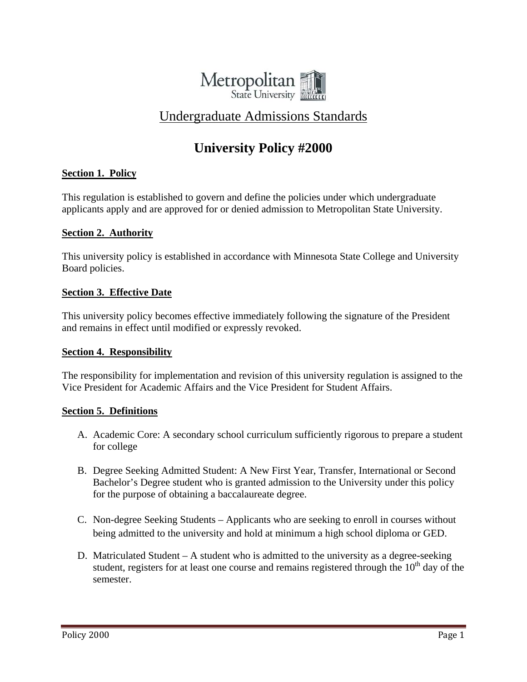

## Undergraduate Admissions Standards

# **University Policy #2000**

#### **Section 1. Policy**

This regulation is established to govern and define the policies under which undergraduate applicants apply and are approved for or denied admission to Metropolitan State University.

#### **Section 2. Authority**

This university policy is established in accordance with Minnesota State College and University Board policies.

#### **Section 3. Effective Date**

This university policy becomes effective immediately following the signature of the President and remains in effect until modified or expressly revoked.

#### **Section 4. Responsibility**

The responsibility for implementation and revision of this university regulation is assigned to the Vice President for Academic Affairs and the Vice President for Student Affairs.

#### **Section 5. Definitions**

- A. Academic Core: A secondary school curriculum sufficiently rigorous to prepare a student for college
- B. Degree Seeking Admitted Student: A New First Year, Transfer, International or Second Bachelor's Degree student who is granted admission to the University under this policy for the purpose of obtaining a baccalaureate degree.
- C. Non-degree Seeking Students Applicants who are seeking to enroll in courses without being admitted to the university and hold at minimum a high school diploma or GED.
- D. Matriculated Student A student who is admitted to the university as a degree-seeking student, registers for at least one course and remains registered through the  $10<sup>th</sup>$  day of the semester.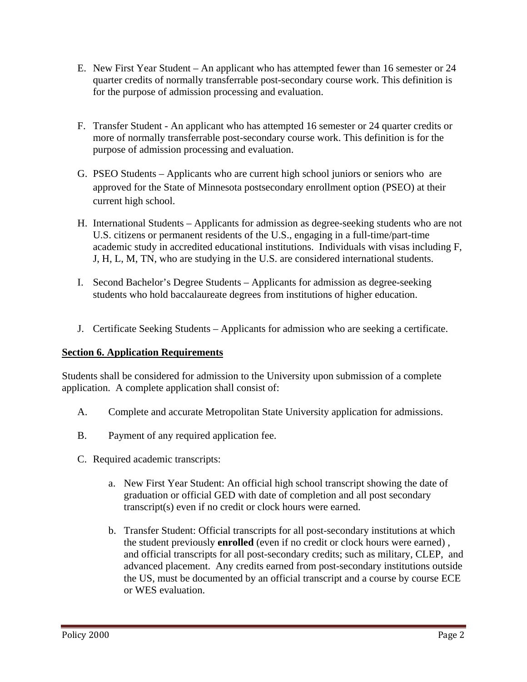- E. New First Year Student An applicant who has attempted fewer than 16 semester or 24 quarter credits of normally transferrable post-secondary course work. This definition is for the purpose of admission processing and evaluation.
- F. Transfer Student An applicant who has attempted 16 semester or 24 quarter credits or more of normally transferrable post-secondary course work. This definition is for the purpose of admission processing and evaluation.
- G. PSEO Students Applicants who are current high school juniors or seniors who are approved for the State of Minnesota postsecondary enrollment option (PSEO) at their current high school.
- H. International Students Applicants for admission as degree-seeking students who are not U.S. citizens or permanent residents of the U.S., engaging in a full-time/part-time academic study in accredited educational institutions. Individuals with visas including F, J, H, L, M, TN, who are studying in the U.S. are considered international students.
- I. Second Bachelor's Degree Students Applicants for admission as degree-seeking students who hold baccalaureate degrees from institutions of higher education.
- J. Certificate Seeking Students Applicants for admission who are seeking a certificate.

#### **Section 6. Application Requirements**

Students shall be considered for admission to the University upon submission of a complete application. A complete application shall consist of:

- A. Complete and accurate Metropolitan State University application for admissions.
- B. Payment of any required application fee.
- C. Required academic transcripts:
	- a. New First Year Student: An official high school transcript showing the date of graduation or official GED with date of completion and all post secondary transcript(s) even if no credit or clock hours were earned.
	- b. Transfer Student: Official transcripts for all post-secondary institutions at which the student previously **enrolled** (even if no credit or clock hours were earned) , and official transcripts for all post-secondary credits; such as military, CLEP, and advanced placement. Any credits earned from post-secondary institutions outside the US, must be documented by an official transcript and a course by course ECE or WES evaluation.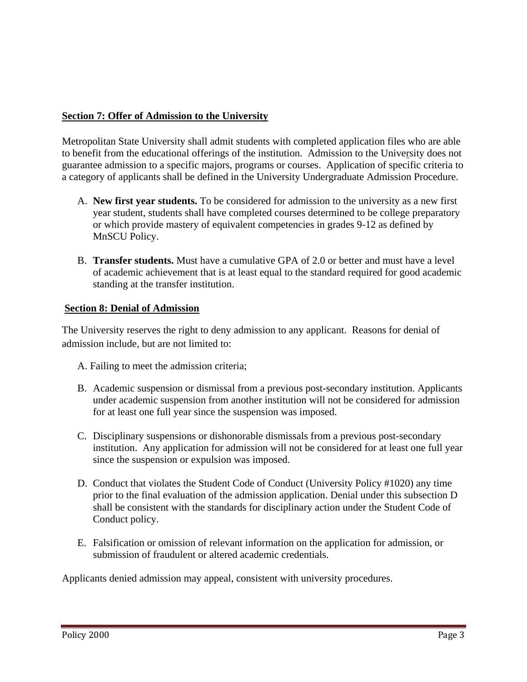## **Section 7: Offer of Admission to the University**

Metropolitan State University shall admit students with completed application files who are able to benefit from the educational offerings of the institution. Admission to the University does not guarantee admission to a specific majors, programs or courses. Application of specific criteria to a category of applicants shall be defined in the University Undergraduate Admission Procedure.

- A. **New first year students.** To be considered for admission to the university as a new first year student, students shall have completed courses determined to be college preparatory or which provide mastery of equivalent competencies in grades 9-12 as defined by MnSCU Policy.
- B. **Transfer students.** Must have a cumulative GPA of 2.0 or better and must have a level of academic achievement that is at least equal to the standard required for good academic standing at the transfer institution.

#### **Section 8: Denial of Admission**

The University reserves the right to deny admission to any applicant. Reasons for denial of admission include, but are not limited to:

A. Failing to meet the admission criteria;

- B. Academic suspension or dismissal from a previous post-secondary institution. Applicants under academic suspension from another institution will not be considered for admission for at least one full year since the suspension was imposed.
- C. Disciplinary suspensions or dishonorable dismissals from a previous post-secondary institution. Any application for admission will not be considered for at least one full year since the suspension or expulsion was imposed.
- D. Conduct that violates the Student Code of Conduct (University Policy #1020) any time prior to the final evaluation of the admission application. Denial under this subsection D shall be consistent with the standards for disciplinary action under the Student Code of Conduct policy.
- E. Falsification or omission of relevant information on the application for admission, or submission of fraudulent or altered academic credentials.

Applicants denied admission may appeal, consistent with university procedures.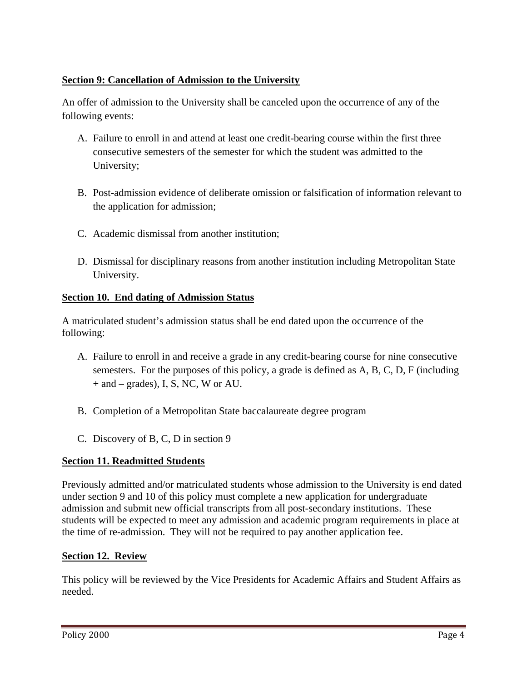## **Section 9: Cancellation of Admission to the University**

An offer of admission to the University shall be canceled upon the occurrence of any of the following events:

- A. Failure to enroll in and attend at least one credit-bearing course within the first three consecutive semesters of the semester for which the student was admitted to the University;
- B. Post-admission evidence of deliberate omission or falsification of information relevant to the application for admission;
- C. Academic dismissal from another institution;
- D. Dismissal for disciplinary reasons from another institution including Metropolitan State University.

#### **Section 10. End dating of Admission Status**

A matriculated student's admission status shall be end dated upon the occurrence of the following:

- A. Failure to enroll in and receive a grade in any credit-bearing course for nine consecutive semesters. For the purposes of this policy, a grade is defined as A, B, C, D, F (including + and – grades), I, S, NC, W or AU.
- B. Completion of a Metropolitan State baccalaureate degree program
- C. Discovery of B, C, D in section 9

## **Section 11. Readmitted Students**

Previously admitted and/or matriculated students whose admission to the University is end dated under section 9 and 10 of this policy must complete a new application for undergraduate admission and submit new official transcripts from all post-secondary institutions. These students will be expected to meet any admission and academic program requirements in place at the time of re-admission. They will not be required to pay another application fee.

## **Section 12. Review**

This policy will be reviewed by the Vice Presidents for Academic Affairs and Student Affairs as needed.